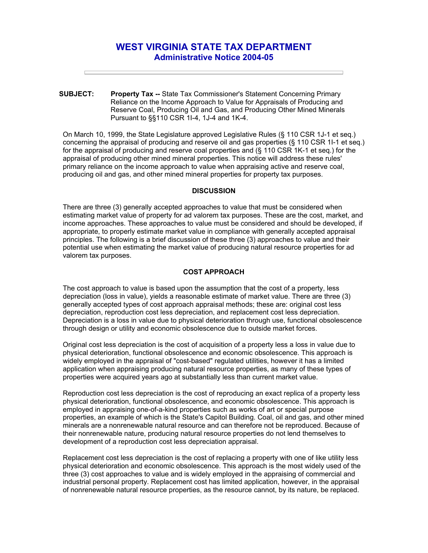# **WEST VIRGINIA STATE TAX DEPARTMENT Administrative Notice 2004-05**

**SUBJECT: Property Tax --** State Tax Commissioner's Statement Concerning Primary Reliance on the Income Approach to Value for Appraisals of Producing and Reserve Coal, Producing Oil and Gas, and Producing Other Mined Minerals Pursuant to §§110 CSR 1I-4, 1J-4 and 1K-4.

On March 10, 1999, the State Legislature approved Legislative Rules (§ 110 CSR 1J-1 et seq.) concerning the appraisal of producing and reserve oil and gas properties (§ 110 CSR 1I-1 et seq.) for the appraisal of producing and reserve coal properties and (§ 110 CSR 1K-1 et seq.) for the appraisal of producing other mined mineral properties. This notice will address these rules' primary reliance on the income approach to value when appraising active and reserve coal, producing oil and gas, and other mined mineral properties for property tax purposes.

## **DISCUSSION**

There are three (3) generally accepted approaches to value that must be considered when estimating market value of property for ad valorem tax purposes. These are the cost, market, and income approaches. These approaches to value must be considered and should be developed, if appropriate, to properly estimate market value in compliance with generally accepted appraisal principles. The following is a brief discussion of these three (3) approaches to value and their potential use when estimating the market value of producing natural resource properties for ad valorem tax purposes.

#### **COST APPROACH**

The cost approach to value is based upon the assumption that the cost of a property, less depreciation (loss in value), yields a reasonable estimate of market value. There are three (3) generally accepted types of cost approach appraisal methods; these are: original cost less depreciation, reproduction cost less depreciation, and replacement cost less depreciation. Depreciation is a loss in value due to physical deterioration through use, functional obsolescence through design or utility and economic obsolescence due to outside market forces.

Original cost less depreciation is the cost of acquisition of a property less a loss in value due to physical deterioration, functional obsolescence and economic obsolescence. This approach is widely employed in the appraisal of "cost-based" regulated utilities, however it has a limited application when appraising producing natural resource properties, as many of these types of properties were acquired years ago at substantially less than current market value.

Reproduction cost less depreciation is the cost of reproducing an exact replica of a property less physical deterioration, functional obsolescence, and economic obsolescence. This approach is employed in appraising one-of-a-kind properties such as works of art or special purpose properties, an example of which is the State's Capitol Building. Coal, oil and gas, and other mined minerals are a nonrenewable natural resource and can therefore not be reproduced. Because of their nonrenewable nature, producing natural resource properties do not lend themselves to development of a reproduction cost less depreciation appraisal.

Replacement cost less depreciation is the cost of replacing a property with one of like utility less physical deterioration and economic obsolescence. This approach is the most widely used of the three (3) cost approaches to value and is widely employed in the appraising of commercial and industrial personal property. Replacement cost has limited application, however, in the appraisal of nonrenewable natural resource properties, as the resource cannot, by its nature, be replaced.